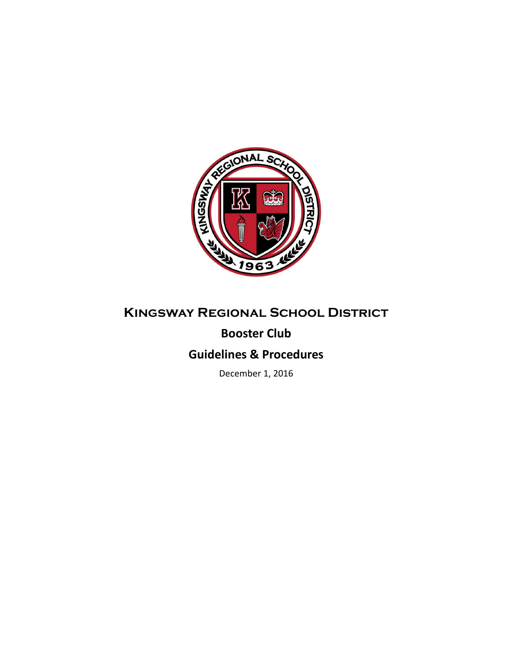

# **Kingsway Regional School District**

## **Booster Club**

### **Guidelines & Procedures**

December 1, 2016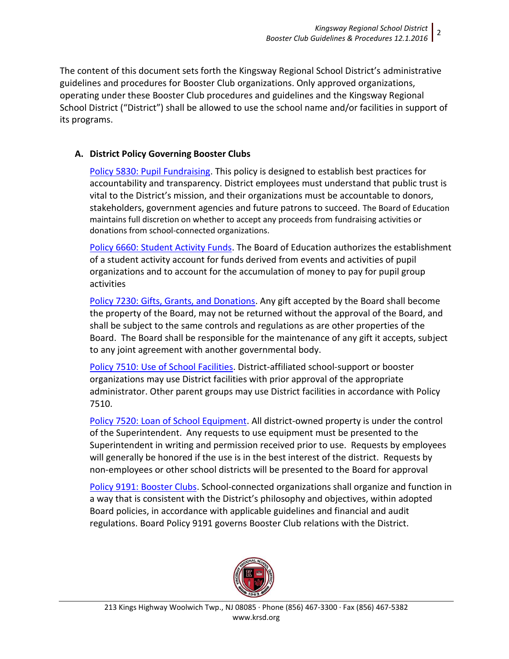The content of this document sets forth the Kingsway Regional School District's administrative guidelines and procedures for Booster Club organizations. Only approved organizations, operating under these Booster Club procedures and guidelines and the Kingsway Regional School District ("District") shall be allowed to use the school name and/or facilities in support of its programs.

#### **A. District Policy Governing Booster Clubs**

[Policy 5830: Pupil Fundraising.](http://www.straussesmay.com/seportal/Public/DistrictPolicy.aspx?policyid=5830&id=f0cc945ef3894b8d9ad5f87d948ca425) This policy is designed to establish best practices for accountability and transparency. District employees must understand that public trust is vital to the District's mission, and their organizations must be accountable to donors, stakeholders, government agencies and future patrons to succeed. The Board of Education maintains full discretion on whether to accept any proceeds from fundraising activities or donations from school-connected organizations.

[Policy 6660: Student Activity Funds.](http://www.straussesmay.com/seportal/Public/DistrictPolicy.aspx?policyid=6660&id=f0cc945ef3894b8d9ad5f87d948ca425) The Board of Education authorizes the establishment of a student activity account for funds derived from events and activities of pupil organizations and to account for the accumulation of money to pay for pupil group activities

[Policy 7230: Gifts, Grants, and Donations.](http://www.straussesmay.com/seportal/Public/DistrictPolicy.aspx?policyid=7230&id=f0cc945ef3894b8d9ad5f87d948ca425) Any gift accepted by the Board shall become the property of the Board, may not be returned without the approval of the Board, and shall be subject to the same controls and regulations as are other properties of the Board. The Board shall be responsible for the maintenance of any gift it accepts, subject to any joint agreement with another governmental body.

[Policy 7510: Use of School Facilities.](http://www.straussesmay.com/seportal/Public/DistrictPolicy.aspx?policyid=7510&id=f0cc945ef3894b8d9ad5f87d948ca425) District-affiliated school-support or booster organizations may use District facilities with prior approval of the appropriate administrator. Other parent groups may use District facilities in accordance with Policy 7510.

[Policy 7520: Loan of School Equipment.](http://www.straussesmay.com/seportal/Public/DistrictPolicy.aspx?policyid=7520&id=f0cc945ef3894b8d9ad5f87d948ca425) All district-owned property is under the control of the Superintendent. Any requests to use equipment must be presented to the Superintendent in writing and permission received prior to use. Requests by employees will generally be honored if the use is in the best interest of the district. Requests by non-employees or other school districts will be presented to the Board for approval

[Policy 9191: Booster Clubs.](http://www.straussesmay.com/seportal/Public/DistrictPolicy.aspx?policyid=9191&id=f0cc945ef3894b8d9ad5f87d948ca425) School-connected organizations shall organize and function in a way that is consistent with the District's philosophy and objectives, within adopted Board policies, in accordance with applicable guidelines and financial and audit regulations. Board Policy 9191 governs Booster Club relations with the District.

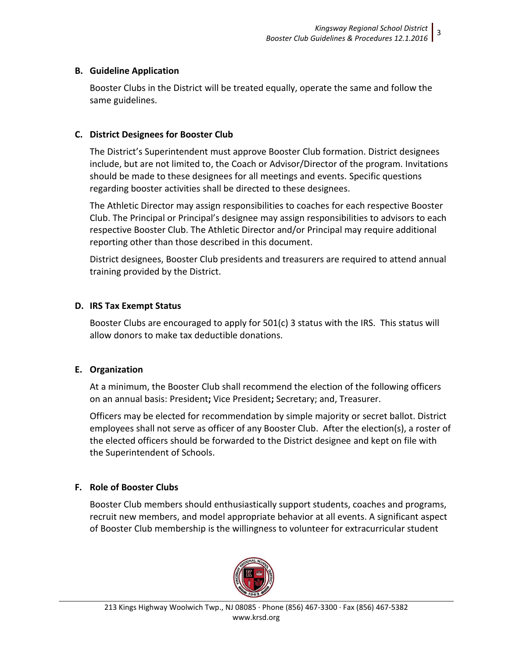#### **B. Guideline Application**

Booster Clubs in the District will be treated equally, operate the same and follow the same guidelines.

#### **C. District Designees for Booster Club**

The District's Superintendent must approve Booster Club formation. District designees include, but are not limited to, the Coach or Advisor/Director of the program. Invitations should be made to these designees for all meetings and events. Specific questions regarding booster activities shall be directed to these designees.

The Athletic Director may assign responsibilities to coaches for each respective Booster Club. The Principal or Principal's designee may assign responsibilities to advisors to each respective Booster Club. The Athletic Director and/or Principal may require additional reporting other than those described in this document.

District designees, Booster Club presidents and treasurers are required to attend annual training provided by the District.

#### **D. IRS Tax Exempt Status**

Booster Clubs are encouraged to apply for 501(c) 3 status with the IRS. This status will allow donors to make tax deductible donations.

#### **E. Organization**

At a minimum, the Booster Club shall recommend the election of the following officers on an annual basis: President**;** Vice President**;** Secretary; and, Treasurer.

Officers may be elected for recommendation by simple majority or secret ballot. District employees shall not serve as officer of any Booster Club. After the election(s), a roster of the elected officers should be forwarded to the District designee and kept on file with the Superintendent of Schools.

### **F. Role of Booster Clubs**

Booster Club members should enthusiastically support students, coaches and programs, recruit new members, and model appropriate behavior at all events. A significant aspect of Booster Club membership is the willingness to volunteer for extracurricular student

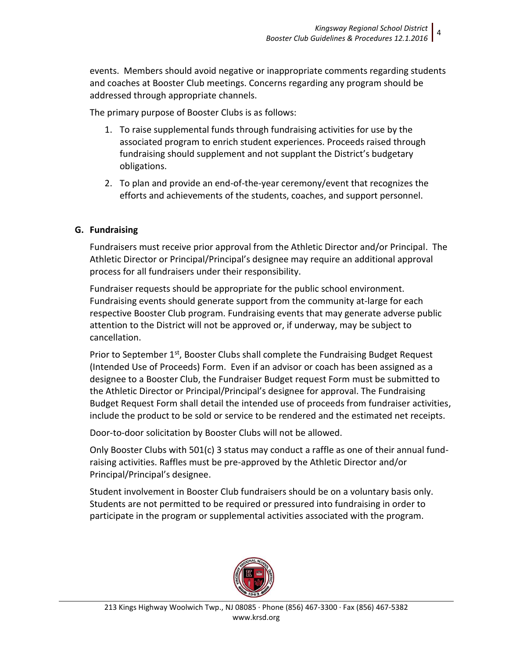events. Members should avoid negative or inappropriate comments regarding students and coaches at Booster Club meetings. Concerns regarding any program should be addressed through appropriate channels.

The primary purpose of Booster Clubs is as follows:

- 1. To raise supplemental funds through fundraising activities for use by the associated program to enrich student experiences. Proceeds raised through fundraising should supplement and not supplant the District's budgetary obligations.
- 2. To plan and provide an end-of-the-year ceremony/event that recognizes the efforts and achievements of the students, coaches, and support personnel.

#### **G. Fundraising**

Fundraisers must receive prior approval from the Athletic Director and/or Principal. The Athletic Director or Principal/Principal's designee may require an additional approval process for all fundraisers under their responsibility.

Fundraiser requests should be appropriate for the public school environment. Fundraising events should generate support from the community at-large for each respective Booster Club program. Fundraising events that may generate adverse public attention to the District will not be approved or, if underway, may be subject to cancellation.

Prior to September 1<sup>st</sup>, Booster Clubs shall complete the Fundraising Budget Request (Intended Use of Proceeds) Form. Even if an advisor or coach has been assigned as a designee to a Booster Club, the Fundraiser Budget request Form must be submitted to the Athletic Director or Principal/Principal's designee for approval. The Fundraising Budget Request Form shall detail the intended use of proceeds from fundraiser activities, include the product to be sold or service to be rendered and the estimated net receipts.

Door-to-door solicitation by Booster Clubs will not be allowed.

Only Booster Clubs with 501(c) 3 status may conduct a raffle as one of their annual fundraising activities. Raffles must be pre-approved by the Athletic Director and/or Principal/Principal's designee.

Student involvement in Booster Club fundraisers should be on a voluntary basis only. Students are not permitted to be required or pressured into fundraising in order to participate in the program or supplemental activities associated with the program.

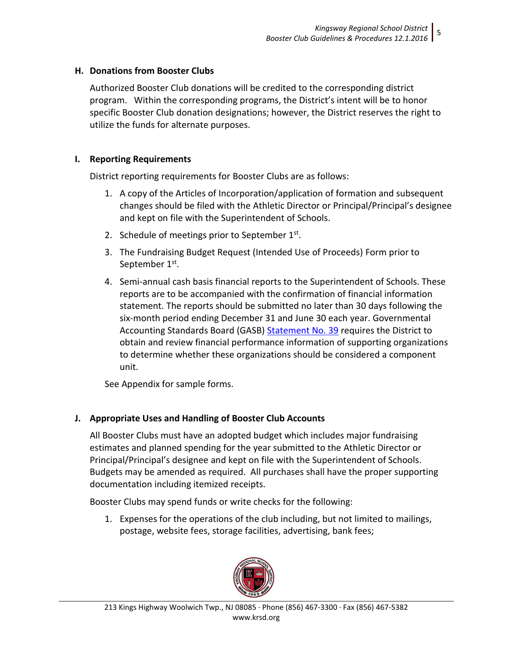#### **H. Donations from Booster Clubs**

Authorized Booster Club donations will be credited to the corresponding district program. Within the corresponding programs, the District's intent will be to honor specific Booster Club donation designations; however, the District reserves the right to utilize the funds for alternate purposes.

#### **I. Reporting Requirements**

District reporting requirements for Booster Clubs are as follows:

- 1. A copy of the Articles of Incorporation/application of formation and subsequent changes should be filed with the Athletic Director or Principal/Principal's designee and kept on file with the Superintendent of Schools.
- 2. Schedule of meetings prior to September  $1<sup>st</sup>$ .
- 3. The Fundraising Budget Request (Intended Use of Proceeds) Form prior to September 1<sup>st</sup>.
- 4. Semi-annual cash basis financial reports to the Superintendent of Schools. These reports are to be accompanied with the confirmation of financial information statement. The reports should be submitted no later than 30 days following the six-month period ending December 31 and June 30 each year. Governmental Accounting Standards Board (GASB) [Statement No. 39](http://www.gasb.org/st/summary/gstsm39.html) requires the District to obtain and review financial performance information of supporting organizations to determine whether these organizations should be considered a component unit.

See Appendix for sample forms.

### **J. Appropriate Uses and Handling of Booster Club Accounts**

All Booster Clubs must have an adopted budget which includes major fundraising estimates and planned spending for the year submitted to the Athletic Director or Principal/Principal's designee and kept on file with the Superintendent of Schools. Budgets may be amended as required. All purchases shall have the proper supporting documentation including itemized receipts.

Booster Clubs may spend funds or write checks for the following:

1. Expenses for the operations of the club including, but not limited to mailings, postage, website fees, storage facilities, advertising, bank fees;

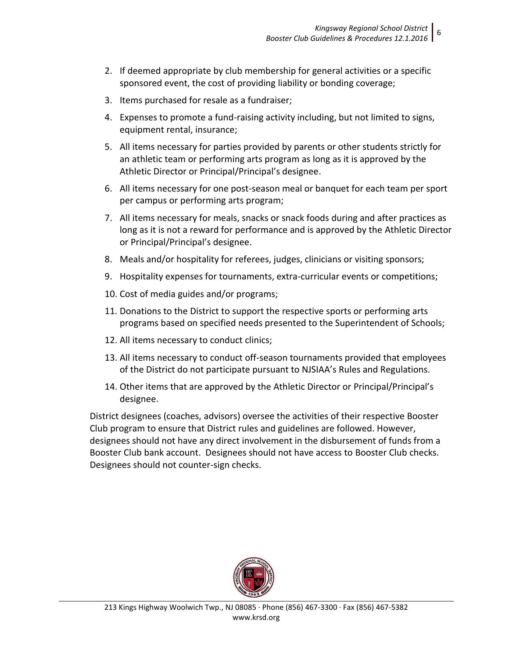- 2. If deemed appropriate by club membership for general activities or a specific sponsored event, the cost of providing liability or bonding coverage;
- 3. Items purchased for resale as a fundraiser;
- 4. Expenses to promote a fund-raising activity including, but not limited to signs, equipment rental, insurance;
- 5. All items necessary for parties provided by parents or other students strictly for an athletic team or performing arts program as long as it is approved by the Athletic Director or Principal/Principal's designee.
- 6. All items necessary for one post-season meal or banquet for each team per sport per campus or performing arts program;
- 7. All items necessary for meals, snacks or snack foods during and after practices as long as it is not a reward for performance and is approved by the Athletic Director or Principal/Principal's designee.
- 8. Meals and/or hospitality for referees, judges, clinicians or visiting sponsors;
- 9. Hospitality expenses for tournaments, extra-curricular events or competitions;
- 10. Cost of media guides and/or programs;
- 11. Donations to the District to support the respective sports or performing arts programs based on specified needs presented to the Superintendent of Schools;
- 12. All items necessary to conduct clinics;
- 13. All items necessary to conduct off-season tournaments provided that employees of the District do not participate pursuant to NJSIAA's Rules and Regulations.
- 14. Other items that are approved by the Athletic Director or Principal/Principal's designee.

District designees (coaches, advisors) oversee the activities of their respective Booster Club program to ensure that District rules and guidelines are followed. However, designees should not have any direct involvement in the disbursement of funds from a Booster Club bank account. Designees should not have access to Booster Club checks. Designees should not counter-sign checks.

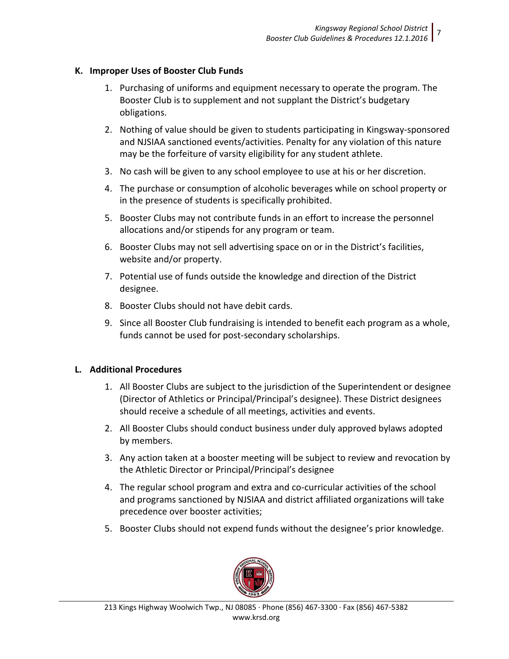#### **K. Improper Uses of Booster Club Funds**

- 1. Purchasing of uniforms and equipment necessary to operate the program. The Booster Club is to supplement and not supplant the District's budgetary obligations.
- 2. Nothing of value should be given to students participating in Kingsway-sponsored and NJSIAA sanctioned events/activities. Penalty for any violation of this nature may be the forfeiture of varsity eligibility for any student athlete.
- 3. No cash will be given to any school employee to use at his or her discretion.
- 4. The purchase or consumption of alcoholic beverages while on school property or in the presence of students is specifically prohibited.
- 5. Booster Clubs may not contribute funds in an effort to increase the personnel allocations and/or stipends for any program or team.
- 6. Booster Clubs may not sell advertising space on or in the District's facilities, website and/or property.
- 7. Potential use of funds outside the knowledge and direction of the District designee.
- 8. Booster Clubs should not have debit cards.
- 9. Since all Booster Club fundraising is intended to benefit each program as a whole, funds cannot be used for post-secondary scholarships.

### **L. Additional Procedures**

- 1. All Booster Clubs are subject to the jurisdiction of the Superintendent or designee (Director of Athletics or Principal/Principal's designee). These District designees should receive a schedule of all meetings, activities and events.
- 2. All Booster Clubs should conduct business under duly approved bylaws adopted by members.
- 3. Any action taken at a booster meeting will be subject to review and revocation by the Athletic Director or Principal/Principal's designee
- 4. The regular school program and extra and co-curricular activities of the school and programs sanctioned by NJSIAA and district affiliated organizations will take precedence over booster activities;
- 5. Booster Clubs should not expend funds without the designee's prior knowledge.

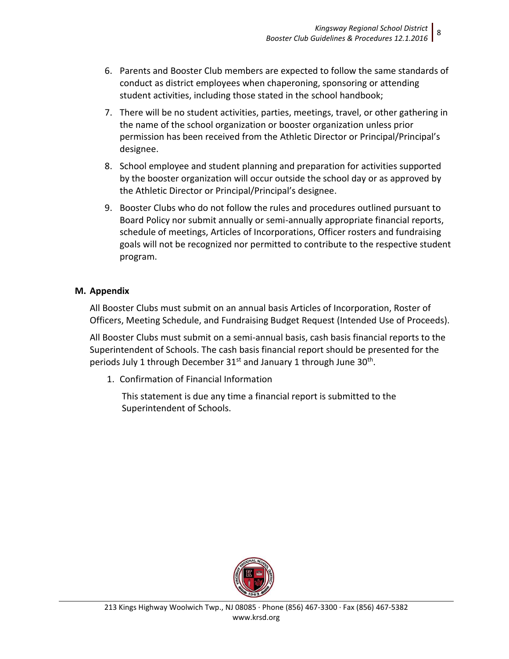- 6. Parents and Booster Club members are expected to follow the same standards of conduct as district employees when chaperoning, sponsoring or attending student activities, including those stated in the school handbook;
- 7. There will be no student activities, parties, meetings, travel, or other gathering in the name of the school organization or booster organization unless prior permission has been received from the Athletic Director or Principal/Principal's designee.
- 8. School employee and student planning and preparation for activities supported by the booster organization will occur outside the school day or as approved by the Athletic Director or Principal/Principal's designee.
- 9. Booster Clubs who do not follow the rules and procedures outlined pursuant to Board Policy nor submit annually or semi-annually appropriate financial reports, schedule of meetings, Articles of Incorporations, Officer rosters and fundraising goals will not be recognized nor permitted to contribute to the respective student program.

#### **M. Appendix**

All Booster Clubs must submit on an annual basis Articles of Incorporation, Roster of Officers, Meeting Schedule, and Fundraising Budget Request (Intended Use of Proceeds).

All Booster Clubs must submit on a semi-annual basis, cash basis financial reports to the Superintendent of Schools. The cash basis financial report should be presented for the periods July 1 through December 31st and January 1 through June 30<sup>th</sup>.

1. Confirmation of Financial Information

This statement is due any time a financial report is submitted to the Superintendent of Schools.

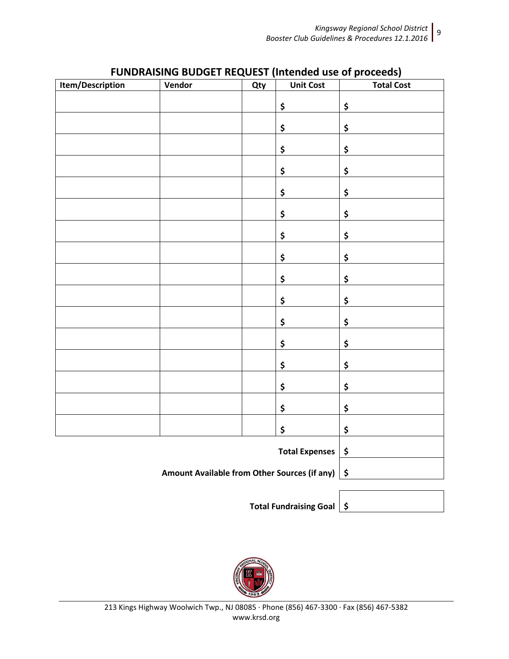*Booster Club Guidelines & Procedures 12.1.2016* 9

|                                                   | <b>I ONDIVATSING DODGET REQUEST (INTERNATE OF DI OCCCUS)</b> |     |                  |                           |
|---------------------------------------------------|--------------------------------------------------------------|-----|------------------|---------------------------|
| Item/Description                                  | Vendor                                                       | Qty | <b>Unit Cost</b> | <b>Total Cost</b>         |
|                                                   |                                                              |     |                  |                           |
|                                                   |                                                              |     | \$               | \$                        |
|                                                   |                                                              |     |                  |                           |
|                                                   |                                                              |     | \$               | \$                        |
|                                                   |                                                              |     |                  |                           |
|                                                   |                                                              |     | \$               | \$                        |
|                                                   |                                                              |     |                  |                           |
|                                                   |                                                              |     | \$               | \$                        |
|                                                   |                                                              |     |                  |                           |
|                                                   |                                                              |     | \$               | $\pmb{\mathsf{S}}$        |
|                                                   |                                                              |     |                  |                           |
|                                                   |                                                              |     | \$               | $\pmb{\mathsf{S}}$        |
|                                                   |                                                              |     |                  |                           |
|                                                   |                                                              |     | \$               | \$                        |
|                                                   |                                                              |     |                  |                           |
|                                                   |                                                              |     | \$               | \$                        |
|                                                   |                                                              |     |                  |                           |
|                                                   |                                                              |     | \$               | $\pmb{\mathsf{S}}$        |
|                                                   |                                                              |     |                  |                           |
|                                                   |                                                              |     | \$               | $\pmb{\mathsf{S}}$        |
|                                                   |                                                              |     |                  |                           |
|                                                   |                                                              |     | \$               | $\boldsymbol{\mathsf{S}}$ |
|                                                   |                                                              |     |                  |                           |
|                                                   |                                                              |     | \$               | $\boldsymbol{\mathsf{S}}$ |
|                                                   |                                                              |     |                  |                           |
|                                                   |                                                              |     | \$               | $\pmb{\mathsf{S}}$        |
|                                                   |                                                              |     |                  |                           |
|                                                   |                                                              |     | \$               | $\pmb{\mathsf{S}}$        |
|                                                   |                                                              |     |                  |                           |
|                                                   |                                                              |     | \$               | $\pmb{\mathsf{S}}$        |
|                                                   |                                                              |     |                  |                           |
|                                                   |                                                              |     | \$               | $\pmb{\mathsf{S}}$        |
|                                                   |                                                              |     |                  |                           |
| Total Expenses \$                                 |                                                              |     |                  |                           |
|                                                   |                                                              |     |                  |                           |
| Amount Available from Other Sources (if any)   \$ |                                                              |     |                  |                           |

### **FUNDRAISING BUDGET REQUEST (Intended use of proceeds)**

**Total Fundraising Goal \$**

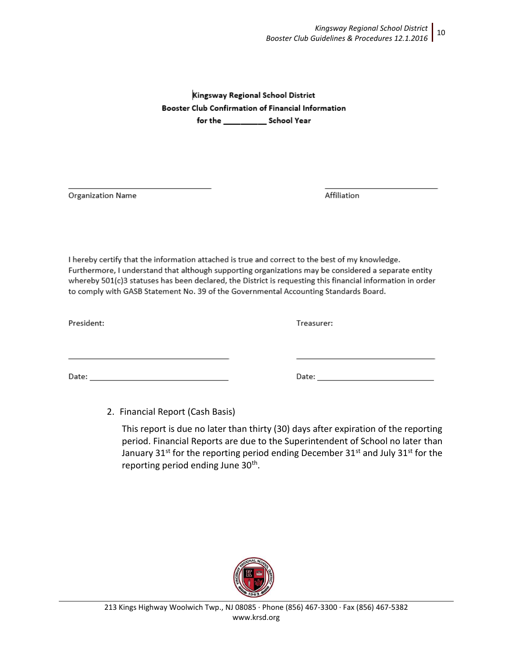Kingsway Regional School District Booster Club Confirmation of Financial Information for the School Year

**Organization Name** 

Affiliation

I hereby certify that the information attached is true and correct to the best of my knowledge. Furthermore, I understand that although supporting organizations may be considered a separate entity whereby 501(c)3 statuses has been declared, the District is requesting this financial information in order to comply with GASB Statement No. 39 of the Governmental Accounting Standards Board.

President:

Treasurer:

Date: Partners and the contract of the contract of the contract of the contract of the contract of the contract of the contract of the contract of the contract of the contract of the contract of the contract of the contrac

2. Financial Report (Cash Basis)

This report is due no later than thirty (30) days after expiration of the reporting period. Financial Reports are due to the Superintendent of School no later than January 31<sup>st</sup> for the reporting period ending December 31<sup>st</sup> and July 31<sup>st</sup> for the reporting period ending June 30<sup>th</sup>.